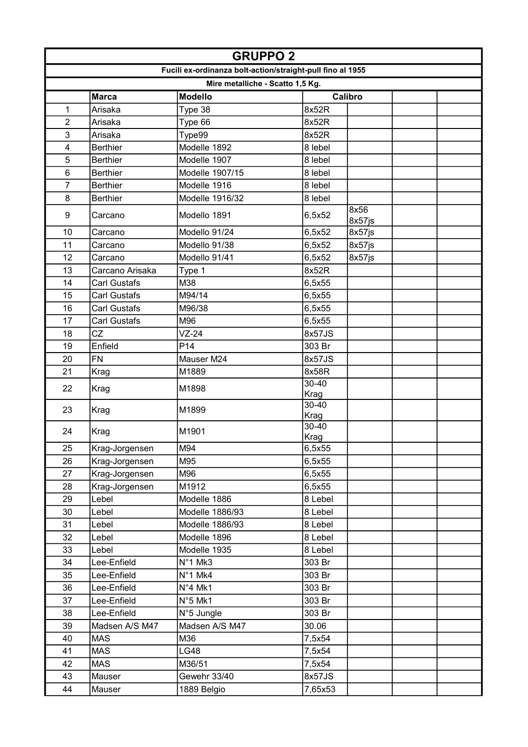|                | <b>GRUPPO 2</b>     |                                                            |                   |                |  |  |
|----------------|---------------------|------------------------------------------------------------|-------------------|----------------|--|--|
|                |                     | Fucili ex-ordinanza bolt-action/straight-pull fino al 1955 |                   |                |  |  |
|                |                     | Mire metalliche - Scatto 1,5 Kg.                           |                   |                |  |  |
|                | <b>Marca</b>        | <b>Modello</b>                                             |                   | Calibro        |  |  |
| 1              | Arisaka             | Type 38                                                    | 8x52R             |                |  |  |
| $\overline{2}$ | Arisaka             | Type 66                                                    | 8x52R             |                |  |  |
| 3              | Arisaka             | Type99                                                     | 8x52R             |                |  |  |
| 4              | <b>Berthier</b>     | Modelle 1892                                               | 8 lebel           |                |  |  |
| 5              | <b>Berthier</b>     | Modelle 1907                                               | 8 lebel           |                |  |  |
| 6              | <b>Berthier</b>     | Modelle 1907/15                                            | 8 lebel           |                |  |  |
| $\overline{7}$ | <b>Berthier</b>     | Modelle 1916                                               | 8 lebel           |                |  |  |
| 8              | <b>Berthier</b>     | Modelle 1916/32                                            | 8 lebel           |                |  |  |
| 9              | Carcano             | Modello 1891                                               | 6,5x52            | 8x56<br>8x57js |  |  |
| 10             | Carcano             | Modello 91/24                                              | 6,5x52            | 8x57js         |  |  |
| 11             | Carcano             | Modello 91/38                                              | 6,5x52            | 8x57js         |  |  |
| 12             | Carcano             | Modello 91/41                                              | 6,5x52            | 8x57js         |  |  |
| 13             | Carcano Arisaka     | Type 1                                                     | 8x52R             |                |  |  |
| 14             | <b>Carl Gustafs</b> | M38                                                        | 6,5x55            |                |  |  |
| 15             | <b>Carl Gustafs</b> | M94/14                                                     | 6,5x55            |                |  |  |
| 16             | <b>Carl Gustafs</b> | M96/38                                                     | 6,5x55            |                |  |  |
| 17             | <b>Carl Gustafs</b> | M96                                                        | 6,5x55            |                |  |  |
| 18             | CZ                  | $VZ-24$                                                    | 8x57JS            |                |  |  |
| 19             | Enfield             | P <sub>14</sub>                                            | 303 Br            |                |  |  |
| 20             | <b>FN</b>           | Mauser M24                                                 | 8x57JS            |                |  |  |
| 21             | Krag                | M1889                                                      | 8x58R             |                |  |  |
| 22             | Krag                | M1898                                                      | $30 - 40$<br>Krag |                |  |  |
| 23             | Krag                | M1899                                                      | $30 - 40$<br>Krag |                |  |  |
| 24             | Krag                | M1901                                                      | $30 - 40$<br>Krag |                |  |  |
| 25             | Krag-Jorgensen      | M94                                                        | 6,5x55            |                |  |  |
| 26             | Krag-Jorgensen      | M95                                                        | 6,5x55            |                |  |  |
| 27             | Krag-Jorgensen      | M96                                                        | 6,5x55            |                |  |  |
| 28             | Krag-Jorgensen      | M1912                                                      | 6,5x55            |                |  |  |
| 29             | Lebel               | Modelle 1886                                               | 8 Lebel           |                |  |  |
| 30             | Lebel               | Modelle 1886/93                                            | 8 Lebel           |                |  |  |
| 31             | Lebel               | Modelle 1886/93                                            | 8 Lebel           |                |  |  |
| 32             | Lebel               | Modelle 1896                                               | 8 Lebel           |                |  |  |
| 33             | Lebel               | Modelle 1935                                               | 8 Lebel           |                |  |  |
| 34             | Lee-Enfield         | N°1 Mk3                                                    | 303 Br            |                |  |  |
| 35             | Lee-Enfield         | N°1 Mk4                                                    | 303 Br            |                |  |  |
| 36             | Lee-Enfield         | $N°4$ Mk1                                                  | 303 Br            |                |  |  |
| 37             | Lee-Enfield         | N°5 Mk1                                                    | 303 Br            |                |  |  |
| 38             | Lee-Enfield         | N°5 Jungle                                                 | 303 Br            |                |  |  |
| 39             | Madsen A/S M47      | Madsen A/S M47                                             | 30.06             |                |  |  |
| 40             | <b>MAS</b>          | M36                                                        | 7,5x54            |                |  |  |
| 41             | <b>MAS</b>          | <b>LG48</b>                                                | 7,5x54            |                |  |  |
| 42             | <b>MAS</b>          | M36/51                                                     | 7,5x54            |                |  |  |
| 43             | Mauser              | Gewehr 33/40                                               | 8x57JS            |                |  |  |
| 44             | Mauser              | 1889 Belgio                                                | 7,65x53           |                |  |  |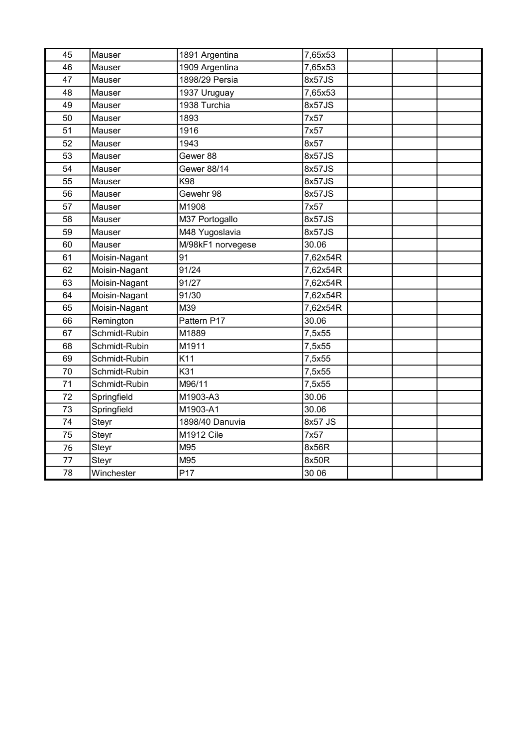| 45 | Mauser        | 1891 Argentina    | 7,65x53  |  |
|----|---------------|-------------------|----------|--|
| 46 | Mauser        | 1909 Argentina    | 7,65x53  |  |
| 47 | Mauser        | 1898/29 Persia    | 8x57JS   |  |
| 48 | Mauser        | 1937 Uruguay      | 7,65x53  |  |
| 49 | Mauser        | 1938 Turchia      | 8x57JS   |  |
| 50 | Mauser        | 1893              | 7x57     |  |
| 51 | Mauser        | 1916              | 7x57     |  |
| 52 | Mauser        | 1943              | 8x57     |  |
| 53 | Mauser        | Gewer 88          | 8x57JS   |  |
| 54 | Mauser        | Gewer 88/14       | 8x57JS   |  |
| 55 | Mauser        | K98               | 8x57JS   |  |
| 56 | Mauser        | Gewehr 98         | 8x57JS   |  |
| 57 | Mauser        | M1908             | 7x57     |  |
| 58 | Mauser        | M37 Portogallo    | 8x57JS   |  |
| 59 | Mauser        | M48 Yugoslavia    | 8x57JS   |  |
| 60 | Mauser        | M/98kF1 norvegese | 30.06    |  |
| 61 | Moisin-Nagant | 91                | 7,62x54R |  |
| 62 | Moisin-Nagant | 91/24             | 7,62x54R |  |
| 63 | Moisin-Nagant | 91/27             | 7,62x54R |  |
| 64 | Moisin-Nagant | 91/30             | 7,62x54R |  |
| 65 | Moisin-Nagant | M39               | 7,62x54R |  |
| 66 | Remington     | Pattern P17       | 30.06    |  |
| 67 | Schmidt-Rubin | M1889             | 7,5x55   |  |
| 68 | Schmidt-Rubin | M1911             | 7,5x55   |  |
| 69 | Schmidt-Rubin | K11               | 7,5x55   |  |
| 70 | Schmidt-Rubin | K31               | 7,5x55   |  |
| 71 | Schmidt-Rubin | M96/11            | 7,5x55   |  |
| 72 | Springfield   | M1903-A3          | 30.06    |  |
| 73 | Springfield   | M1903-A1          | 30.06    |  |
| 74 | Steyr         | 1898/40 Danuvia   | 8x57 JS  |  |
| 75 | Steyr         | M1912 Cile        | 7x57     |  |
| 76 | Steyr         | M95               | 8x56R    |  |
| 77 | Steyr         | M95               | 8x50R    |  |
| 78 | Winchester    | P <sub>17</sub>   | 30 06    |  |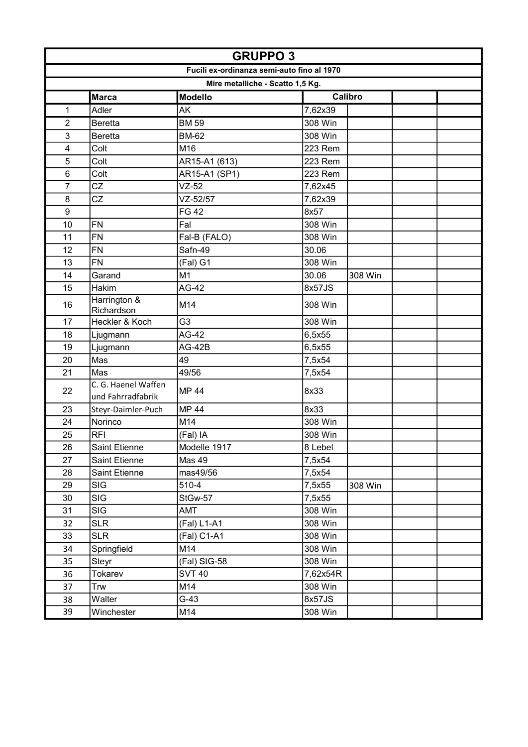| <b>GRUPPO 3</b>  |                                          |                                            |          |         |  |  |
|------------------|------------------------------------------|--------------------------------------------|----------|---------|--|--|
|                  |                                          | Fucili ex-ordinanza semi-auto fino al 1970 |          |         |  |  |
|                  |                                          | Mire metalliche - Scatto 1,5 Kg.           |          |         |  |  |
|                  | <b>Marca</b>                             | <b>Modello</b>                             |          | Calibro |  |  |
| 1                | Adler                                    | AK                                         | 7,62x39  |         |  |  |
| $\overline{2}$   | <b>Beretta</b>                           | <b>BM 59</b>                               | 308 Win  |         |  |  |
| 3                | <b>Beretta</b>                           | <b>BM-62</b>                               | 308 Win  |         |  |  |
| 4                | Colt                                     | M16                                        | 223 Rem  |         |  |  |
| 5                | Colt                                     | AR15-A1 (613)                              | 223 Rem  |         |  |  |
| 6                | Colt                                     | AR15-A1 (SP1)                              | 223 Rem  |         |  |  |
| $\overline{7}$   | CZ                                       | $VZ-52$                                    | 7,62x45  |         |  |  |
| 8                | CZ                                       | VZ-52/57                                   | 7,62x39  |         |  |  |
| $\boldsymbol{9}$ |                                          | <b>FG 42</b>                               | 8x57     |         |  |  |
| 10               | <b>FN</b>                                | Fal                                        | 308 Win  |         |  |  |
| 11               | <b>FN</b>                                | Fal-B (FALO)                               | 308 Win  |         |  |  |
| 12               | <b>FN</b>                                | Safn-49                                    | 30.06    |         |  |  |
| 13               | <b>FN</b>                                | (Fal) G1                                   | 308 Win  |         |  |  |
| 14               | Garand                                   | M <sub>1</sub>                             | 30.06    | 308 Win |  |  |
| 15               | Hakim                                    | AG-42                                      | 8x57JS   |         |  |  |
| 16               | Harrington &<br>Richardson               | M14                                        | 308 Win  |         |  |  |
| 17               | Heckler & Koch                           | G <sub>3</sub>                             | 308 Win  |         |  |  |
| 18               | Ljugmann                                 | AG-42                                      | 6,5x55   |         |  |  |
| 19               | Ljugmann                                 | $AG-42B$                                   | 6,5x55   |         |  |  |
| 20               | Mas                                      | 49                                         | 7,5x54   |         |  |  |
| 21               | Mas                                      | 49/56                                      | 7,5x54   |         |  |  |
| 22               | C. G. Haenel Waffen<br>und Fahrradfabrik | <b>MP 44</b>                               | 8x33     |         |  |  |
| 23               | Steyr-Daimler-Puch                       | <b>MP 44</b>                               | 8x33     |         |  |  |
| 24               | Norinco                                  | M14                                        | 308 Win  |         |  |  |
| 25               | <b>RFI</b>                               | (Fal) IA                                   | 308 Win  |         |  |  |
| 26               | Saint Etienne                            | Modelle 1917                               | 8 Lebel  |         |  |  |
| 27               | Saint Etienne                            | Mas 49                                     | 7,5x54   |         |  |  |
| 28               | Saint Etienne                            | mas49/56                                   | 7,5x54   |         |  |  |
| 29               | <b>SIG</b>                               | 510-4                                      | 7,5x55   | 308 Win |  |  |
| 30               | <b>SIG</b>                               | StGw-57                                    | 7,5x55   |         |  |  |
| 31               | <b>SIG</b>                               | AMT                                        | 308 Win  |         |  |  |
| 32               | <b>SLR</b>                               | (Fal) L1-A1                                | 308 Win  |         |  |  |
| 33               | <b>SLR</b>                               | (Fal) C1-A1                                | 308 Win  |         |  |  |
| 34               | Springfield                              | M14                                        | 308 Win  |         |  |  |
| 35               | Steyr                                    | (Fal) StG-58                               | 308 Win  |         |  |  |
| 36               | Tokarev                                  | <b>SVT 40</b>                              | 7,62x54R |         |  |  |
| 37               | Trw                                      | M14                                        | 308 Win  |         |  |  |
| 38               | Walter                                   | $G-43$                                     | 8x57JS   |         |  |  |
| 39               | Winchester                               | M14                                        | 308 Win  |         |  |  |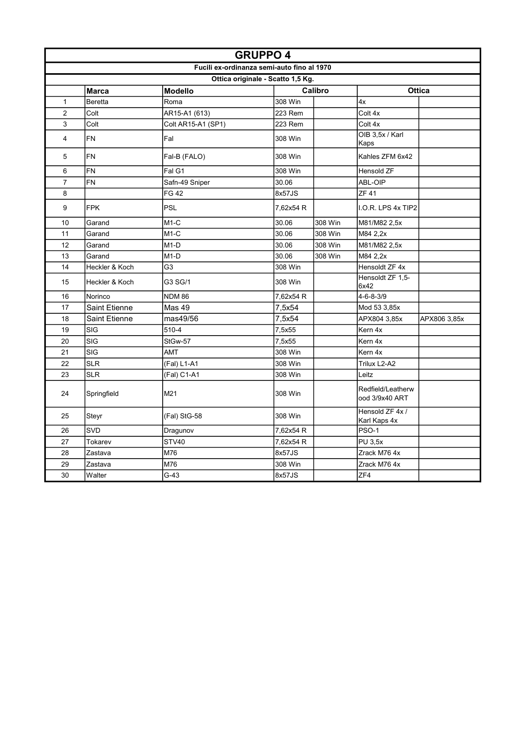|                         | <b>GRUPPO 4</b>      |                                            |                                   |         |                                     |               |
|-------------------------|----------------------|--------------------------------------------|-----------------------------------|---------|-------------------------------------|---------------|
|                         |                      | Fucili ex-ordinanza semi-auto fino al 1970 |                                   |         |                                     |               |
|                         |                      |                                            | Ottica originale - Scatto 1,5 Kg. |         |                                     |               |
|                         | <b>Marca</b>         | <b>Modello</b>                             |                                   | Calibro |                                     | <b>Ottica</b> |
| $\mathbf{1}$            | Beretta              | Roma                                       | 308 Win                           |         | 4x                                  |               |
| $\overline{2}$          | Colt                 | AR15-A1 (613)                              | 223 Rem                           |         | Colt 4x                             |               |
| 3                       | Colt                 | Colt AR15-A1 (SP1)                         | 223 Rem                           |         | Colt 4x                             |               |
| $\overline{\mathbf{4}}$ | FN                   | Fal                                        | 308 Win                           |         | OIB 3,5x / Karl<br>Kaps             |               |
| 5                       | FN                   | Fal-B (FALO)                               | 308 Win                           |         | Kahles ZFM 6x42                     |               |
| 6                       | FN                   | Fal G1                                     | 308 Win                           |         | Hensold ZF                          |               |
| $\overline{7}$          | FN                   | Safn-49 Sniper                             | 30.06                             |         | ABL-OIP                             |               |
| 8                       |                      | FG 42                                      | 8x57JS                            |         | ZF 41                               |               |
| 9                       | <b>FPK</b>           | PSL                                        | 7,62x54 R                         |         | I.O.R. LPS 4x TIP2                  |               |
| 10                      | Garand               | $M1-C$                                     | 30.06                             | 308 Win | M81/M82 2,5x                        |               |
| 11                      | Garand               | $M1-C$                                     | 30.06                             | 308 Win | M84 2,2x                            |               |
| 12                      | Garand               | $M1-D$                                     | 30.06                             | 308 Win | M81/M82 2,5x                        |               |
| 13                      | Garand               | M <sub>1</sub> -D                          | 30.06                             | 308 Win | M84 2,2x                            |               |
| 14                      | Heckler & Koch       | G3                                         | 308 Win                           |         | Hensoldt ZF 4x                      |               |
| 15                      | Heckler & Koch       | G3 SG/1                                    | 308 Win                           |         | Hensoldt ZF 1,5-<br>6x42            |               |
| 16                      | Norinco              | <b>NDM 86</b>                              | 7,62x54 R                         |         | $4 - 6 - 8 - 3/9$                   |               |
| 17                      | <b>Saint Etienne</b> | Mas 49                                     | 7,5x54                            |         | Mod 53 3,85x                        |               |
| 18                      | <b>Saint Etienne</b> | mas49/56                                   | 7,5x54                            |         | APX804 3,85x                        | APX806 3,85x  |
| 19                      | SIG                  | 510-4                                      | 7,5x55                            |         | Kern 4x                             |               |
| 20                      | SIG                  | StGw-57                                    | 7,5x55                            |         | Kern 4x                             |               |
| 21                      | SIG                  | <b>AMT</b>                                 | 308 Win                           |         | Kern 4x                             |               |
| 22                      | <b>SLR</b>           | (Fal) L1-A1                                | 308 Win                           |         | Trilux L2-A2                        |               |
| 23                      | <b>SLR</b>           | (Fal) C1-A1                                | 308 Win                           |         | Leitz                               |               |
| 24                      | Springfield          | M21                                        | 308 Win                           |         | Redfield/Leatherw<br>ood 3/9x40 ART |               |
| 25                      | Steyr                | (Fal) StG-58                               | 308 Win                           |         | Hensold ZF 4x /<br>Karl Kaps 4x     |               |
| 26                      | SVD                  | Dragunov                                   | 7,62x54 R                         |         | <b>PSO-1</b>                        |               |
| 27                      | Tokarev              | STV40                                      | 7,62x54 R                         |         | <b>PU 3,5x</b>                      |               |
| 28                      | Zastava              | M76                                        | 8x57JS                            |         | Zrack M76 4x                        |               |
| 29                      | Zastava              | M76                                        | 308 Win                           |         | Zrack M76 4x                        |               |
| 30                      | Walter               | $G-43$                                     | 8x57JS                            |         | ZF4                                 |               |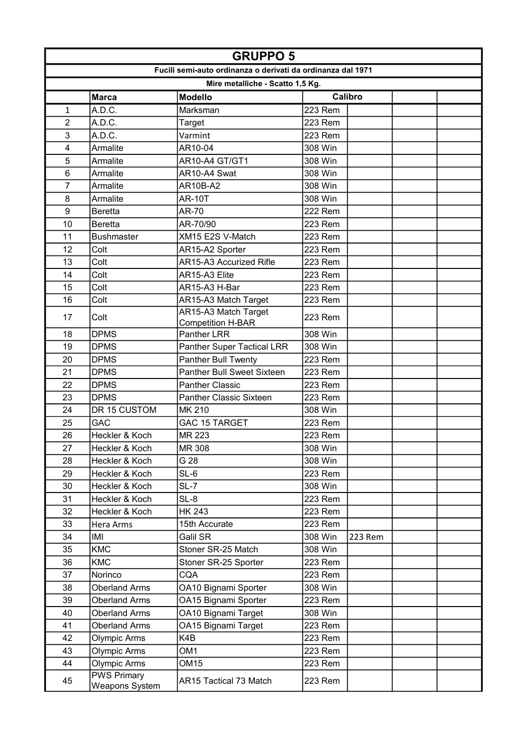|                | <b>GRUPPO 5</b>                      |                                                             |                |         |  |  |
|----------------|--------------------------------------|-------------------------------------------------------------|----------------|---------|--|--|
|                |                                      | Fucili semi-auto ordinanza o derivati da ordinanza dal 1971 |                |         |  |  |
|                |                                      | Mire metalliche - Scatto 1,5 Kg.                            |                |         |  |  |
|                | <b>Marca</b>                         | <b>Modello</b>                                              |                | Calibro |  |  |
| 1              | A.D.C.                               | Marksman                                                    | 223 Rem        |         |  |  |
| $\overline{2}$ | A.D.C.                               | Target                                                      | <b>223 Rem</b> |         |  |  |
| 3              | A.D.C.                               | Varmint                                                     | 223 Rem        |         |  |  |
| 4              | Armalite                             | AR10-04                                                     | 308 Win        |         |  |  |
| 5              | Armalite                             | AR10-A4 GT/GT1                                              | 308 Win        |         |  |  |
| $\,6$          | Armalite                             | AR10-A4 Swat                                                | 308 Win        |         |  |  |
| 7              | Armalite                             | AR10B-A2                                                    | 308 Win        |         |  |  |
| 8              | Armalite                             | <b>AR-10T</b>                                               | 308 Win        |         |  |  |
| $9\,$          | <b>Beretta</b>                       | AR-70                                                       | <b>222 Rem</b> |         |  |  |
| 10             | <b>Beretta</b>                       | AR-70/90                                                    | <b>223 Rem</b> |         |  |  |
| 11             | <b>Bushmaster</b>                    | XM15 E2S V-Match                                            | 223 Rem        |         |  |  |
| 12             | Colt                                 | AR15-A2 Sporter                                             | <b>223 Rem</b> |         |  |  |
| 13             | Colt                                 | AR15-A3 Accurized Rifle                                     | <b>223 Rem</b> |         |  |  |
| 14             | Colt                                 | AR15-A3 Elite                                               | 223 Rem        |         |  |  |
| 15             | Colt                                 | AR15-A3 H-Bar                                               | 223 Rem        |         |  |  |
| 16             | Colt                                 | AR15-A3 Match Target                                        | <b>223 Rem</b> |         |  |  |
| 17             | Colt                                 | AR15-A3 Match Target                                        | 223 Rem        |         |  |  |
| 18             | <b>DPMS</b>                          | <b>Competition H-BAR</b><br>Panther LRR                     | 308 Win        |         |  |  |
| 19             | <b>DPMS</b>                          | <b>Panther Super Tactical LRR</b>                           | 308 Win        |         |  |  |
| 20             | <b>DPMS</b>                          | Panther Bull Twenty                                         | <b>223 Rem</b> |         |  |  |
| 21             | <b>DPMS</b>                          | <b>Panther Bull Sweet Sixteen</b>                           | <b>223 Rem</b> |         |  |  |
| 22             | <b>DPMS</b>                          | <b>Panther Classic</b>                                      | 223 Rem        |         |  |  |
| 23             | <b>DPMS</b>                          | <b>Panther Classic Sixteen</b>                              | <b>223 Rem</b> |         |  |  |
| 24             | DR 15 CUSTOM                         | MK 210                                                      | 308 Win        |         |  |  |
| 25             | <b>GAC</b>                           | <b>GAC 15 TARGET</b>                                        | 223 Rem        |         |  |  |
| 26             | Heckler & Koch                       | MR 223                                                      | 223 Rem        |         |  |  |
| 27             | Heckler & Koch                       | MR 308                                                      | 308 Win        |         |  |  |
| 28             | Heckler & Koch                       | G 28                                                        | 308 Win        |         |  |  |
| 29             | Heckler & Koch                       | $SL-6$                                                      | 223 Rem        |         |  |  |
| 30             | Heckler & Koch                       | $SL-7$                                                      | 308 Win        |         |  |  |
| 31             | Heckler & Koch                       | SL-8                                                        | 223 Rem        |         |  |  |
| 32             | Heckler & Koch                       | <b>HK 243</b>                                               | 223 Rem        |         |  |  |
| 33             | Hera Arms                            | 15th Accurate                                               | 223 Rem        |         |  |  |
| 34             | IMI                                  | Galil SR                                                    | 308 Win        | 223 Rem |  |  |
| 35             | <b>KMC</b>                           | Stoner SR-25 Match                                          | 308 Win        |         |  |  |
| 36             | <b>KMC</b>                           | Stoner SR-25 Sporter                                        | 223 Rem        |         |  |  |
| 37             | Norinco                              | <b>CQA</b>                                                  | 223 Rem        |         |  |  |
| 38             | <b>Oberland Arms</b>                 | OA10 Bignami Sporter                                        | 308 Win        |         |  |  |
| 39             | <b>Oberland Arms</b>                 | OA15 Bignami Sporter                                        | 223 Rem        |         |  |  |
| 40             | <b>Oberland Arms</b>                 | OA10 Bignami Target                                         | 308 Win        |         |  |  |
| 41             | <b>Oberland Arms</b>                 | OA15 Bignami Target                                         | 223 Rem        |         |  |  |
| 42             | <b>Olympic Arms</b>                  | K4B                                                         | 223 Rem        |         |  |  |
| 43             | <b>Olympic Arms</b>                  | OM <sub>1</sub>                                             | 223 Rem        |         |  |  |
| 44             | Olympic Arms                         | <b>OM15</b>                                                 | 223 Rem        |         |  |  |
| 45             | <b>PWS Primary</b><br>Weapons System | <b>AR15 Tactical 73 Match</b>                               | 223 Rem        |         |  |  |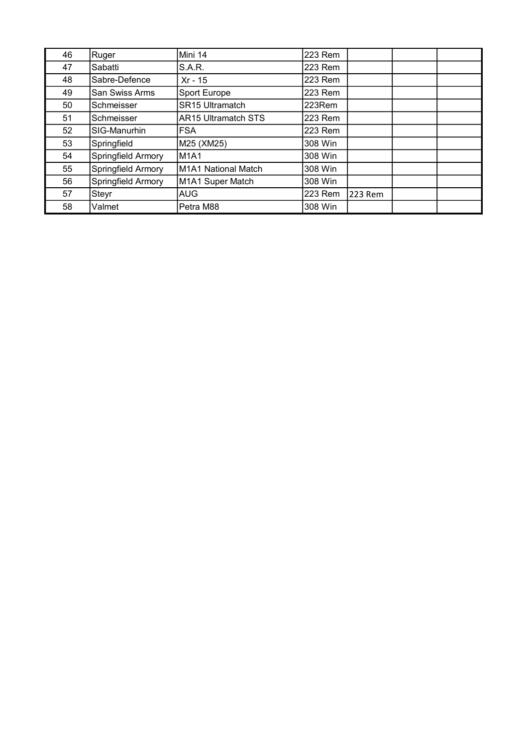| 46 | Ruger                 | Mini 14                    | 223 Rem |         |  |
|----|-----------------------|----------------------------|---------|---------|--|
| 47 | Sabatti               | <b>S.A.R.</b>              | 223 Rem |         |  |
| 48 | Sabre-Defence         | Xr - 15                    | 223 Rem |         |  |
| 49 | <b>San Swiss Arms</b> | Sport Europe               | 223 Rem |         |  |
| 50 | Schmeisser            | <b>SR15 Ultramatch</b>     | 223Rem  |         |  |
| 51 | Schmeisser            | <b>AR15 Ultramatch STS</b> | 223 Rem |         |  |
| 52 | SIG-Manurhin          | <b>FSA</b>                 | 223 Rem |         |  |
| 53 | Springfield           | M25 (XM25)                 | 308 Win |         |  |
| 54 | Springfield Armory    | <b>M1A1</b>                | 308 Win |         |  |
| 55 | Springfield Armory    | M1A1 National Match        | 308 Win |         |  |
| 56 | Springfield Armory    | M1A1 Super Match           | 308 Win |         |  |
| 57 | Steyr                 | <b>AUG</b>                 | 223 Rem | 223 Rem |  |
| 58 | Valmet                | Petra M88                  | 308 Win |         |  |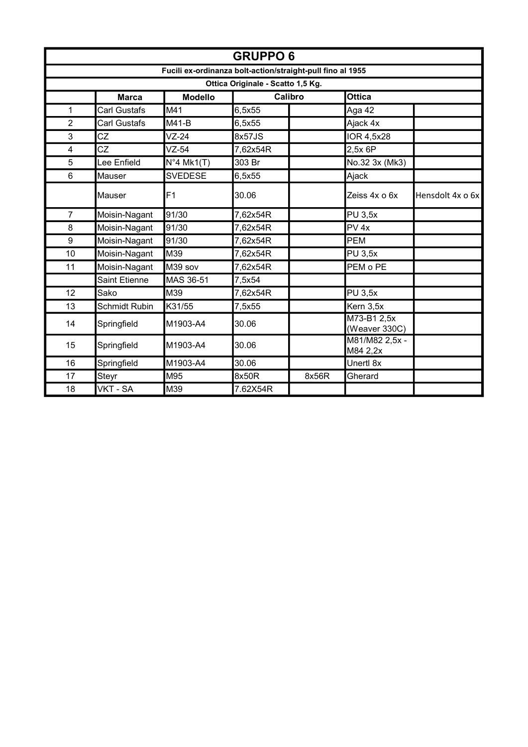|                |                      |                | <b>GRUPPO6</b>                                             |                |                              |                  |
|----------------|----------------------|----------------|------------------------------------------------------------|----------------|------------------------------|------------------|
|                |                      |                | Fucili ex-ordinanza bolt-action/straight-pull fino al 1955 |                |                              |                  |
|                |                      |                | Ottica Originale - Scatto 1,5 Kg.                          |                |                              |                  |
|                | <b>Marca</b>         | <b>Modello</b> |                                                            | <b>Calibro</b> | <b>Ottica</b>                |                  |
| $\mathbf{1}$   | <b>Carl Gustafs</b>  | M41            | 6,5x55                                                     |                | Aga 42                       |                  |
| $\overline{2}$ | <b>Carl Gustafs</b>  | $M41-B$        | 6,5x55                                                     |                | Ajack 4x                     |                  |
| 3              | CZ                   | $VZ-24$        | 8x57JS                                                     |                | IOR 4,5x28                   |                  |
| 4              | CZ                   | $VZ-54$        | 7,62x54R                                                   |                | 2.5x 6P                      |                  |
| 5              | Lee Enfield          | $N°4$ Mk1(T)   | 303 Br                                                     |                | No.32 3x (Mk3)               |                  |
| $6\phantom{1}$ | Mauser               | <b>SVEDESE</b> | 6,5x55                                                     |                | Ajack                        |                  |
|                | Mauser               | F1             | 30.06                                                      |                | Zeiss 4x o 6x                | Hensdolt 4x o 6x |
| $\overline{7}$ | Moisin-Nagant        | 91/30          | 7,62x54R                                                   |                | <b>PU 3,5x</b>               |                  |
| 8              | Moisin-Nagant        | 91/30          | 7,62x54R                                                   |                | $PV$ 4x                      |                  |
| 9              | Moisin-Nagant        | 91/30          | 7,62x54R                                                   |                | <b>PEM</b>                   |                  |
| 10             | Moisin-Nagant        | M39            | 7,62x54R                                                   |                | <b>PU 3,5x</b>               |                  |
| 11             | Moisin-Nagant        | M39 sov        | 7,62x54R                                                   |                | PEM o PE                     |                  |
|                | Saint Etienne        | MAS 36-51      | 7,5x54                                                     |                |                              |                  |
| 12             | Sako                 | M39            | 7,62x54R                                                   |                | <b>PU 3,5x</b>               |                  |
| 13             | <b>Schmidt Rubin</b> | K31/55         | 7,5x55                                                     |                | Kern 3,5x                    |                  |
| 14             | Springfield          | M1903-A4       | 30.06                                                      |                | M73-B1 2,5x<br>(Weaver 330C) |                  |
| 15             | Springfield          | M1903-A4       | 30.06                                                      |                | M81/M82 2,5x -<br>M84 2,2x   |                  |
| 16             | Springfield          | M1903-A4       | 30.06                                                      |                | Unertl 8x                    |                  |
| 17             | Steyr                | M95            | 8x50R                                                      | 8x56R          | Gherard                      |                  |
| 18             | VKT - SA             | M39            | 7.62X54R                                                   |                |                              |                  |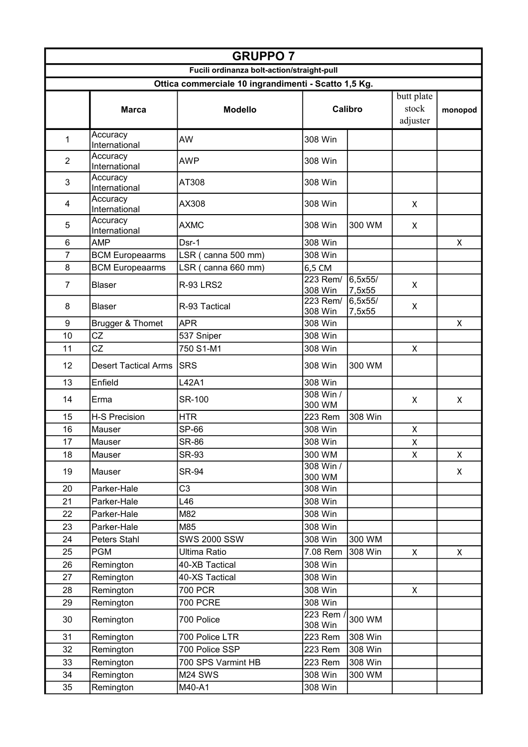|                  | <b>GRUPPO 7</b>             |                                                      |                       |                   |                   |         |
|------------------|-----------------------------|------------------------------------------------------|-----------------------|-------------------|-------------------|---------|
|                  |                             | Fucili ordinanza bolt-action/straight-pull           |                       |                   |                   |         |
|                  |                             | Ottica commerciale 10 ingrandimenti - Scatto 1,5 Kg. |                       |                   |                   |         |
|                  |                             |                                                      |                       |                   | butt plate        |         |
|                  | <b>Marca</b>                | <b>Modello</b>                                       |                       | Calibro           | stock<br>adjuster | monopod |
| 1                | Accuracy<br>International   | AW                                                   | 308 Win               |                   |                   |         |
| $\overline{2}$   | Accuracy<br>International   | <b>AWP</b>                                           | 308 Win               |                   |                   |         |
| 3                | Accuracy<br>International   | AT308                                                | 308 Win               |                   |                   |         |
| 4                | Accuracy<br>International   | AX308                                                | 308 Win               |                   | X                 |         |
| 5                | Accuracy<br>International   | <b>AXMC</b>                                          | 308 Win               | 300 WM            | X                 |         |
| 6                | <b>AMP</b>                  | Dsr-1                                                | 308 Win               |                   |                   | X       |
| 7                | <b>BCM Europeaarms</b>      | LSR (canna 500 mm)                                   | 308 Win               |                   |                   |         |
| 8                | <b>BCM Europeaarms</b>      | LSR (canna 660 mm)                                   | 6,5 CM                |                   |                   |         |
| $\overline{7}$   | <b>Blaser</b>               | <b>R-93 LRS2</b>                                     | 223 Rem/<br>308 Win   | 6,5x55/<br>7,5x55 | X                 |         |
| 8                | <b>Blaser</b>               | R-93 Tactical                                        | $223$ Rem/<br>308 Win | 6,5x55/<br>7,5x55 | X                 |         |
| $\boldsymbol{9}$ | Brugger & Thomet            | <b>APR</b>                                           | 308 Win               |                   |                   | X       |
| 10               | CZ                          | 537 Sniper                                           | 308 Win               |                   |                   |         |
| 11               | CZ                          | 750 S1-M1                                            | 308 Win               |                   | X                 |         |
| 12               | <b>Desert Tactical Arms</b> | <b>SRS</b>                                           | 308 Win               | 300 WM            |                   |         |
| 13               | Enfield                     | L42A1                                                | 308 Win               |                   |                   |         |
| 14               | Erma                        | <b>SR-100</b>                                        | 308 Win /<br>300 WM   |                   | X                 | X       |
| 15               | <b>H-S Precision</b>        | <b>HTR</b>                                           | 223 Rem               | 308 Win           |                   |         |
| 16               | Mauser                      | SP-66                                                | 308 Win               |                   | X                 |         |
| 17               | Mauser                      | <b>SR-86</b>                                         | 308 Win               |                   | Χ                 |         |
| 18               | Mauser                      | SR-93                                                | 300 WM                |                   | X                 | X       |
| 19               | Mauser                      | <b>SR-94</b>                                         | 308 Win /<br>300 WM   |                   |                   | X       |
| 20               | Parker-Hale                 | C <sub>3</sub>                                       | 308 Win               |                   |                   |         |
| 21               | Parker-Hale                 | L46                                                  | 308 Win               |                   |                   |         |
| 22               | Parker-Hale                 | M82                                                  | 308 Win               |                   |                   |         |
| 23               | Parker-Hale                 | M85                                                  | 308 Win               |                   |                   |         |
| 24               | Peters Stahl                | <b>SWS 2000 SSW</b>                                  | 308 Win               | 300 WM            |                   |         |
| 25               | <b>PGM</b>                  | Ultima Ratio                                         | 7.08 Rem              | 308 Win           | X                 | X.      |
| 26               | Remington                   | 40-XB Tactical                                       | 308 Win               |                   |                   |         |
| 27               | Remington                   | 40-XS Tactical                                       | 308 Win               |                   |                   |         |
| 28               | Remington                   | 700 PCR                                              | 308 Win               |                   | X                 |         |
| 29               | Remington                   | 700 PCRE                                             | 308 Win               |                   |                   |         |
|                  |                             |                                                      | $223$ Rem             |                   |                   |         |
| 30               | Remington                   | 700 Police                                           | 308 Win               | 300 WM            |                   |         |
| 31               | Remington                   | 700 Police LTR                                       | 223 Rem               | 308 Win           |                   |         |
| 32               | Remington                   | 700 Police SSP                                       | 223 Rem               | 308 Win           |                   |         |
| 33               | Remington                   | 700 SPS Varmint HB                                   | 223 Rem               | 308 Win           |                   |         |
| 34               | Remington                   | M24 SWS                                              | 308 Win               | 300 WM            |                   |         |
| 35               | Remington                   | M40-A1                                               | 308 Win               |                   |                   |         |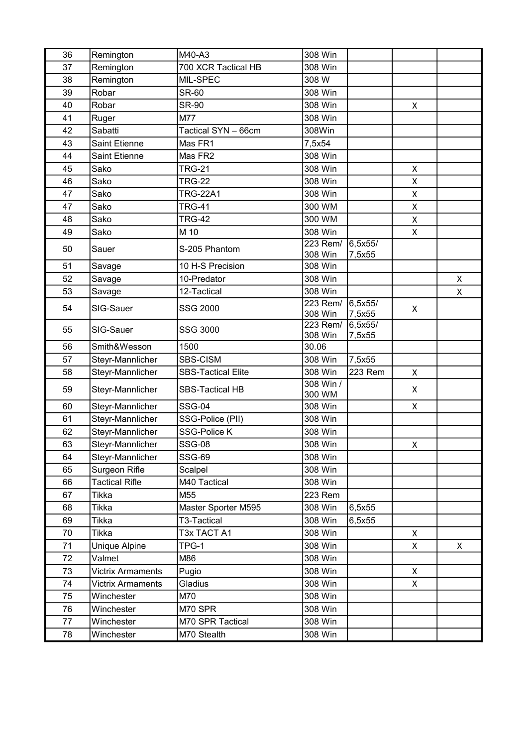| 36 | Remington                | M40-A3                    | 308 Win             |                   |              |   |
|----|--------------------------|---------------------------|---------------------|-------------------|--------------|---|
| 37 | Remington                | 700 XCR Tactical HB       | 308 Win             |                   |              |   |
| 38 | Remington                | MIL-SPEC                  | 308 W               |                   |              |   |
| 39 | Robar                    | <b>SR-60</b>              | 308 Win             |                   |              |   |
| 40 | Robar                    | <b>SR-90</b>              | 308 Win             |                   | X            |   |
| 41 | Ruger                    | M77                       | 308 Win             |                   |              |   |
| 42 | Sabatti                  | Tactical SYN - 66cm       | 308Win              |                   |              |   |
| 43 | <b>Saint Etienne</b>     | Mas FR1                   | 7,5x54              |                   |              |   |
| 44 | <b>Saint Etienne</b>     | Mas FR2                   | 308 Win             |                   |              |   |
| 45 | Sako                     | <b>TRG-21</b>             | 308 Win             |                   | X            |   |
| 46 | Sako                     | <b>TRG-22</b>             | 308 Win             |                   | X            |   |
| 47 | Sako                     | <b>TRG-22A1</b>           | 308 Win             |                   | $\mathsf{X}$ |   |
| 47 | Sako                     | <b>TRG-41</b>             | 300 WM              |                   | X            |   |
| 48 | Sako                     | <b>TRG-42</b>             | 300 WM              |                   | X            |   |
| 49 | Sako                     | M 10                      | 308 Win             |                   | X            |   |
| 50 | Sauer                    | S-205 Phantom             | $223$ Rem/          | 6,5x55/           |              |   |
|    |                          |                           | 308 Win             | 7,5x55            |              |   |
| 51 | Savage                   | 10 H-S Precision          | 308 Win             |                   |              |   |
| 52 | Savage                   | 10-Predator               | 308 Win             |                   |              | X |
| 53 | Savage                   | 12-Tactical               | 308 Win             |                   |              | X |
| 54 | SIG-Sauer                | SSG 2000                  | 223 Rem/<br>308 Win | 6,5x55/<br>7,5x55 | X            |   |
| 55 | SIG-Sauer                | SSG 3000                  | 223 Rem/<br>308 Win | 6,5x55/<br>7,5x55 |              |   |
| 56 | Smith&Wesson             | 1500                      | 30.06               |                   |              |   |
| 57 | Steyr-Mannlicher         | SBS-CISM                  | 308 Win             | 7,5x55            |              |   |
| 58 | Steyr-Mannlicher         | <b>SBS-Tactical Elite</b> | 308 Win             | 223 Rem           | X            |   |
| 59 | Steyr-Mannlicher         | <b>SBS-Tactical HB</b>    | 308 Win /<br>300 WM |                   | X            |   |
| 60 | Steyr-Mannlicher         | <b>SSG-04</b>             | 308 Win             |                   | X            |   |
| 61 | Steyr-Mannlicher         | SSG-Police (PII)          | 308 Win             |                   |              |   |
| 62 | Steyr-Mannlicher         | <b>SSG-Police K</b>       | 308 Win             |                   |              |   |
| 63 | Steyr-Mannlicher         | <b>SSG-08</b>             | 308 Win             |                   | X            |   |
| 64 | Steyr-Mannlicher         | <b>SSG-69</b>             | 308 Win             |                   |              |   |
| 65 | Surgeon Rifle            | Scalpel                   | 308 Win             |                   |              |   |
| 66 | <b>Tactical Rifle</b>    | M40 Tactical              | 308 Win             |                   |              |   |
| 67 | Tikka                    | M55                       | 223 Rem             |                   |              |   |
| 68 | Tikka                    | Master Sporter M595       | 308 Win             | 6,5x55            |              |   |
| 69 | Tikka                    | T3-Tactical               | 308 Win             | 6,5x55            |              |   |
| 70 | Tikka                    | T3x TACT A1               | 308 Win             |                   | X            |   |
| 71 | Unique Alpine            | TPG-1                     | 308 Win             |                   | X            | X |
| 72 | Valmet                   | M86                       | 308 Win             |                   |              |   |
| 73 | <b>Victrix Armaments</b> | Pugio                     | 308 Win             |                   | X            |   |
| 74 | <b>Victrix Armaments</b> | Gladius                   | 308 Win             |                   | X            |   |
| 75 | Winchester               | M70                       | 308 Win             |                   |              |   |
| 76 | Winchester               | M70 SPR                   | 308 Win             |                   |              |   |
| 77 | Winchester               | M70 SPR Tactical          | 308 Win             |                   |              |   |
| 78 | Winchester               | M70 Stealth               | 308 Win             |                   |              |   |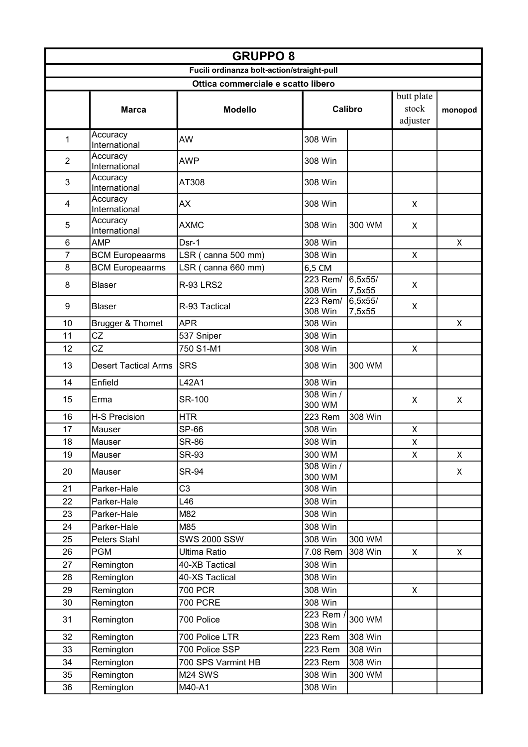|                | <b>GRUPPO 8</b>             |                                            |                      |                    |                                 |              |
|----------------|-----------------------------|--------------------------------------------|----------------------|--------------------|---------------------------------|--------------|
|                |                             | Fucili ordinanza bolt-action/straight-pull |                      |                    |                                 |              |
|                |                             | Ottica commerciale e scatto libero         |                      |                    |                                 |              |
|                | <b>Marca</b>                | <b>Modello</b>                             |                      | Calibro            | butt plate<br>stock<br>adjuster | monopod      |
| 1              | Accuracy<br>International   | AW                                         | 308 Win              |                    |                                 |              |
| $\overline{2}$ | Accuracy<br>International   | <b>AWP</b>                                 | 308 Win              |                    |                                 |              |
| 3              | Accuracy<br>International   | AT308                                      | 308 Win              |                    |                                 |              |
| 4              | Accuracy<br>International   | AX                                         | 308 Win              |                    | X                               |              |
| 5              | Accuracy<br>International   | <b>AXMC</b>                                | 308 Win              | 300 WM             | X                               |              |
| 6              | <b>AMP</b>                  | Dsr-1                                      | 308 Win              |                    |                                 | $\mathsf{x}$ |
| 7              | <b>BCM Europeaarms</b>      | LSR (canna 500 mm)                         | 308 Win              |                    | X                               |              |
| 8              | <b>BCM Europeaarms</b>      | LSR (canna 660 mm)                         | 6,5 CM               |                    |                                 |              |
| 8              | <b>Blaser</b>               | <b>R-93 LRS2</b>                           | 223 Rem/<br>308 Win  | 6, 5x55/<br>7,5x55 | X                               |              |
| 9              | <b>Blaser</b>               | R-93 Tactical                              | 223 Rem/<br>308 Win  | 6,5x55/<br>7,5x55  | X                               |              |
| 10             | Brugger & Thomet            | <b>APR</b>                                 | 308 Win              |                    |                                 | X            |
| 11             | CZ                          | 537 Sniper                                 | 308 Win              |                    |                                 |              |
| 12             | CZ                          | 750 S1-M1                                  | 308 Win              |                    | X                               |              |
| 13             | <b>Desert Tactical Arms</b> | <b>SRS</b>                                 | 308 Win              | 300 WM             |                                 |              |
| 14             | Enfield                     | L42A1                                      | 308 Win              |                    |                                 |              |
| 15             | Erma                        | <b>SR-100</b>                              | 308 Win /<br>300 WM  |                    | x                               | X            |
| 16             | <b>H-S Precision</b>        | <b>HTR</b>                                 | 223 Rem              | 308 Win            |                                 |              |
| 17             | Mauser                      | SP-66                                      | 308 Win              |                    | X                               |              |
| 18             | Mauser                      | <b>SR-86</b>                               | 308 Win              |                    | Χ                               |              |
| 19             | Mauser                      | SR-93                                      | 300 WM               |                    | X                               | X            |
| 20             | Mauser                      | <b>SR-94</b>                               | 308 Win /<br>300 WM  |                    |                                 | X            |
| 21             | Parker-Hale                 | C <sub>3</sub>                             | 308 Win              |                    |                                 |              |
| 22             | Parker-Hale                 | L46                                        | 308 Win              |                    |                                 |              |
| 23             | Parker-Hale                 | M82                                        | 308 Win              |                    |                                 |              |
| 24             | Parker-Hale                 | M85                                        | 308 Win              |                    |                                 |              |
| 25             | Peters Stahl                | <b>SWS 2000 SSW</b>                        | 308 Win              | 300 WM             |                                 |              |
| 26             | <b>PGM</b>                  | Ultima Ratio                               | 7.08 Rem             | 308 Win            | X                               | X.           |
| 27             | Remington                   | 40-XB Tactical                             | 308 Win              |                    |                                 |              |
| 28             | Remington                   | 40-XS Tactical                             | 308 Win              |                    |                                 |              |
| 29             | Remington                   | 700 PCR                                    | 308 Win              |                    | X                               |              |
| 30             | Remington                   | 700 PCRE                                   | 308 Win              |                    |                                 |              |
| 31             | Remington                   | 700 Police                                 | $223$ Rem<br>308 Win | 300 WM             |                                 |              |
| 32             | Remington                   | 700 Police LTR                             | 223 Rem              | 308 Win            |                                 |              |
| 33             | Remington                   | 700 Police SSP                             | 223 Rem              | 308 Win            |                                 |              |
| 34             | Remington                   | 700 SPS Varmint HB                         | 223 Rem              | 308 Win            |                                 |              |
| 35             | Remington                   | M24 SWS                                    | 308 Win              | 300 WM             |                                 |              |
| 36             | Remington                   | M40-A1                                     | 308 Win              |                    |                                 |              |
|                |                             |                                            |                      |                    |                                 |              |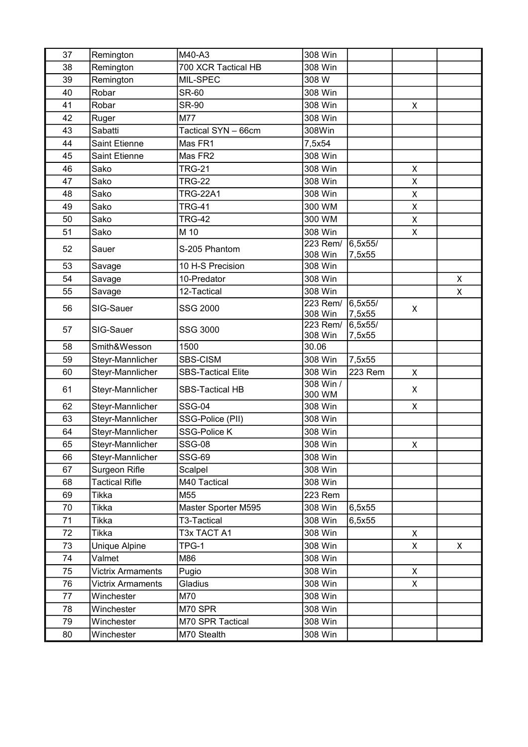| 37 | Remington                | M40-A3                    | 308 Win             |                   |                |   |
|----|--------------------------|---------------------------|---------------------|-------------------|----------------|---|
| 38 | Remington                | 700 XCR Tactical HB       | 308 Win             |                   |                |   |
| 39 | Remington                | MIL-SPEC                  | 308 W               |                   |                |   |
| 40 | Robar                    | <b>SR-60</b>              | 308 Win             |                   |                |   |
| 41 | Robar                    | <b>SR-90</b>              | 308 Win             |                   | X              |   |
| 42 | Ruger                    | M77                       | 308 Win             |                   |                |   |
| 43 | Sabatti                  | Tactical SYN - 66cm       | 308Win              |                   |                |   |
| 44 | <b>Saint Etienne</b>     | Mas FR1                   | 7,5x54              |                   |                |   |
| 45 | <b>Saint Etienne</b>     | Mas FR2                   | 308 Win             |                   |                |   |
| 46 | Sako                     | <b>TRG-21</b>             | 308 Win             |                   | X              |   |
| 47 | Sako                     | <b>TRG-22</b>             | 308 Win             |                   | X              |   |
| 48 | Sako                     | <b>TRG-22A1</b>           | 308 Win             |                   | X              |   |
| 49 | Sako                     | <b>TRG-41</b>             | 300 WM              |                   | $\mathsf{x}$   |   |
| 50 | Sako                     | <b>TRG-42</b>             | 300 WM              |                   | X              |   |
| 51 | Sako                     | M 10                      | 308 Win             |                   | X              |   |
| 52 | Sauer                    | S-205 Phantom             | 223 Rem/            | 6,5x55/           |                |   |
|    |                          |                           | 308 Win             | 7,5x55            |                |   |
| 53 | Savage                   | 10 H-S Precision          | 308 Win             |                   |                |   |
| 54 | Savage                   | 10-Predator               | 308 Win             |                   |                | X |
| 55 | Savage                   | 12-Tactical               | 308 Win             |                   |                | X |
| 56 | SIG-Sauer                | SSG 2000                  | 223 Rem/<br>308 Win | 6,5x55/<br>7,5x55 | X              |   |
| 57 | SIG-Sauer                | SSG 3000                  | 223 Rem/<br>308 Win | 6,5x55/<br>7,5x55 |                |   |
| 58 | Smith&Wesson             | 1500                      | 30.06               |                   |                |   |
| 59 | Steyr-Mannlicher         | SBS-CISM                  | 308 Win             | 7,5x55            |                |   |
| 60 | Steyr-Mannlicher         | <b>SBS-Tactical Elite</b> | 308 Win             | 223 Rem           | X              |   |
| 61 | Steyr-Mannlicher         | <b>SBS-Tactical HB</b>    | 308 Win /<br>300 WM |                   | X              |   |
| 62 | Steyr-Mannlicher         | <b>SSG-04</b>             | 308 Win             |                   | X              |   |
| 63 | Steyr-Mannlicher         | SSG-Police (PII)          | 308 Win             |                   |                |   |
| 64 | Steyr-Mannlicher         | <b>SSG-Police K</b>       | 308 Win             |                   |                |   |
| 65 | Steyr-Mannlicher         | <b>SSG-08</b>             | 308 Win             |                   | $\mathsf{X}^-$ |   |
| 66 | Steyr-Mannlicher         | <b>SSG-69</b>             | 308 Win             |                   |                |   |
| 67 | Surgeon Rifle            | Scalpel                   | 308 Win             |                   |                |   |
| 68 | <b>Tactical Rifle</b>    | M40 Tactical              | 308 Win             |                   |                |   |
| 69 | Tikka                    | M55                       | 223 Rem             |                   |                |   |
| 70 | Tikka                    | Master Sporter M595       | 308 Win             | 6,5x55            |                |   |
| 71 | Tikka                    | T3-Tactical               | 308 Win             | 6,5x55            |                |   |
| 72 | Tikka                    | T3x TACT A1               | 308 Win             |                   | X              |   |
| 73 | Unique Alpine            | TPG-1                     | 308 Win             |                   | X              | X |
| 74 | Valmet                   | M86                       | 308 Win             |                   |                |   |
| 75 | <b>Victrix Armaments</b> | Pugio                     | 308 Win             |                   | X              |   |
| 76 | <b>Victrix Armaments</b> | Gladius                   | 308 Win             |                   | X              |   |
| 77 | Winchester               | M70                       | 308 Win             |                   |                |   |
| 78 | Winchester               | M70 SPR                   | 308 Win             |                   |                |   |
| 79 | Winchester               | M70 SPR Tactical          | 308 Win             |                   |                |   |
| 80 | Winchester               | M70 Stealth               | 308 Win             |                   |                |   |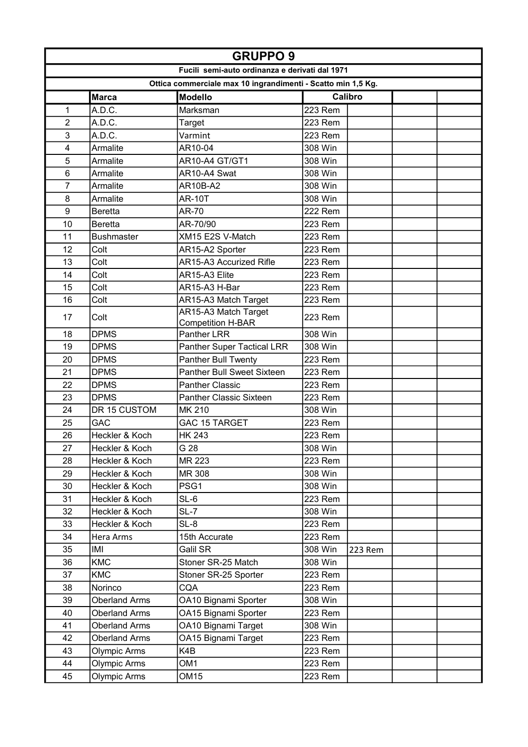|                | <b>GRUPPO 9</b>      |                                                              |                    |  |  |
|----------------|----------------------|--------------------------------------------------------------|--------------------|--|--|
|                |                      | Fucili semi-auto ordinanza e derivati dal 1971               |                    |  |  |
|                |                      | Ottica commerciale max 10 ingrandimenti - Scatto min 1,5 Kg. |                    |  |  |
|                | <b>Marca</b>         | <b>Modello</b>                                               | Calibro            |  |  |
| 1              | A.D.C.               | Marksman                                                     | <b>223 Rem</b>     |  |  |
| $\overline{c}$ | A.D.C.               | Target                                                       | <b>223 Rem</b>     |  |  |
| 3              | A.D.C.               | Varmint                                                      | 223 Rem            |  |  |
| 4              | Armalite             | AR10-04                                                      | 308 Win            |  |  |
| 5              | Armalite             | AR10-A4 GT/GT1                                               | 308 Win            |  |  |
| 6              | Armalite             | AR10-A4 Swat                                                 | 308 Win            |  |  |
| 7              | Armalite             | <b>AR10B-A2</b>                                              | 308 Win            |  |  |
| 8              | Armalite             | <b>AR-10T</b>                                                | 308 Win            |  |  |
| 9              | <b>Beretta</b>       | AR-70                                                        | <b>222 Rem</b>     |  |  |
| 10             | <b>Beretta</b>       | AR-70/90                                                     | <b>223 Rem</b>     |  |  |
| 11             | <b>Bushmaster</b>    | XM15 E2S V-Match                                             | 223 Rem            |  |  |
| 12             | Colt                 | AR15-A2 Sporter                                              | 223 Rem            |  |  |
| 13             | Colt                 | AR15-A3 Accurized Rifle                                      | <b>223 Rem</b>     |  |  |
| 14             | Colt                 | AR15-A3 Elite                                                | <b>223 Rem</b>     |  |  |
| 15             | Colt                 | AR15-A3 H-Bar                                                | <b>223 Rem</b>     |  |  |
| 16             | Colt                 | AR15-A3 Match Target                                         | 223 Rem            |  |  |
| 17             | Colt                 | AR15-A3 Match Target<br><b>Competition H-BAR</b>             | 223 Rem            |  |  |
| 18             | <b>DPMS</b>          | <b>Panther LRR</b>                                           | 308 Win            |  |  |
| 19             | <b>DPMS</b>          | <b>Panther Super Tactical LRR</b>                            | 308 Win            |  |  |
| 20             | <b>DPMS</b>          | Panther Bull Twenty                                          | 223 Rem            |  |  |
| 21             | <b>DPMS</b>          | <b>Panther Bull Sweet Sixteen</b>                            | 223 Rem            |  |  |
| 22             | <b>DPMS</b>          | <b>Panther Classic</b>                                       | <b>223 Rem</b>     |  |  |
| 23             | <b>DPMS</b>          | <b>Panther Classic Sixteen</b>                               | 223 Rem            |  |  |
| 24             | DR 15 CUSTOM         | MK 210                                                       | 308 Win            |  |  |
| 25             | GAC                  | <b>GAC 15 TARGET</b>                                         | 223 Rem            |  |  |
| 26             | Heckler & Koch       | <b>HK 243</b>                                                | 223 Rem            |  |  |
| 27             | Heckler & Koch       | G 28                                                         | 308 Win            |  |  |
| 28             | Heckler & Koch       | MR 223                                                       | 223 Rem            |  |  |
| 29             | Heckler & Koch       | MR 308                                                       | 308 Win            |  |  |
| 30             | Heckler & Koch       | PSG1                                                         | 308 Win            |  |  |
| 31             | Heckler & Koch       | SL-6                                                         | 223 Rem            |  |  |
| 32             | Heckler & Koch       | SL-7                                                         | 308 Win            |  |  |
| 33             | Heckler & Koch       | SL-8                                                         | 223 Rem            |  |  |
| 34             | Hera Arms            | 15th Accurate                                                | 223 Rem            |  |  |
| 35             | IMI                  | Galil SR                                                     | 308 Win<br>223 Rem |  |  |
| 36             | <b>KMC</b>           | Stoner SR-25 Match                                           | 308 Win            |  |  |
| 37             | <b>KMC</b>           | Stoner SR-25 Sporter                                         | 223 Rem            |  |  |
| 38             | Norinco              | CQA                                                          | 223 Rem            |  |  |
| 39             | <b>Oberland Arms</b> | OA10 Bignami Sporter                                         | 308 Win            |  |  |
| 40             | <b>Oberland Arms</b> | OA15 Bignami Sporter                                         | 223 Rem            |  |  |
| 41             | <b>Oberland Arms</b> | OA10 Bignami Target                                          | 308 Win            |  |  |
| 42             | <b>Oberland Arms</b> | OA15 Bignami Target                                          | 223 Rem            |  |  |
| 43             | Olympic Arms         | K4B                                                          | 223 Rem            |  |  |
| 44             | Olympic Arms         | OM1                                                          | 223 Rem            |  |  |
| 45             | <b>Olympic Arms</b>  | OM15                                                         | 223 Rem            |  |  |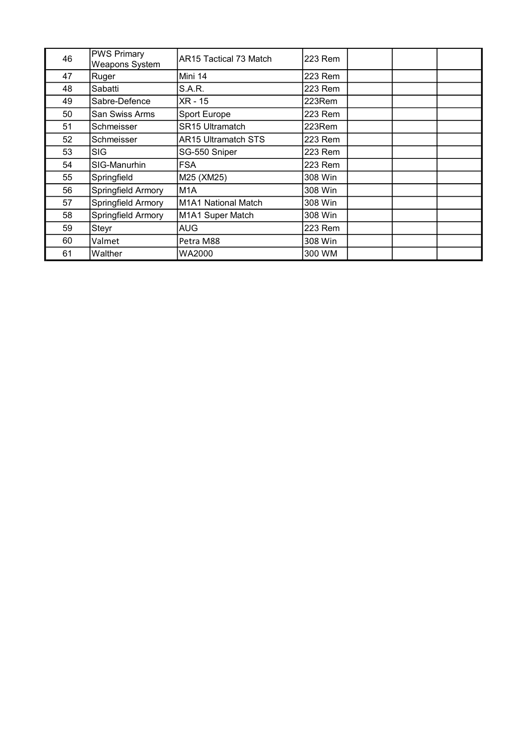| 46 | <b>PWS Primary</b><br><b>Weapons System</b> | AR15 Tactical 73 Match     | 223 Rem |  |
|----|---------------------------------------------|----------------------------|---------|--|
| 47 | Ruger                                       | Mini 14                    | 223 Rem |  |
| 48 | Sabatti                                     | S.A.R.                     | 223 Rem |  |
| 49 | Sabre-Defence                               | XR - 15                    | 223Rem  |  |
| 50 | San Swiss Arms                              | Sport Europe               | 223 Rem |  |
| 51 | Schmeisser                                  | <b>SR15 Ultramatch</b>     | 223Rem  |  |
| 52 | Schmeisser                                  | <b>AR15 Ultramatch STS</b> | 223 Rem |  |
| 53 | <b>SIG</b>                                  | SG-550 Sniper              | 223 Rem |  |
| 54 | SIG-Manurhin                                | <b>FSA</b>                 | 223 Rem |  |
| 55 | Springfield                                 | M25 (XM25)                 | 308 Win |  |
| 56 | Springfield Armory                          | M <sub>1</sub> A           | 308 Win |  |
| 57 | Springfield Armory                          | M1A1 National Match        | 308 Win |  |
| 58 | Springfield Armory                          | M1A1 Super Match           | 308 Win |  |
| 59 | Steyr                                       | AUG                        | 223 Rem |  |
| 60 | Valmet                                      | Petra M88                  | 308 Win |  |
| 61 | Walther                                     | WA2000                     | 300 WM  |  |